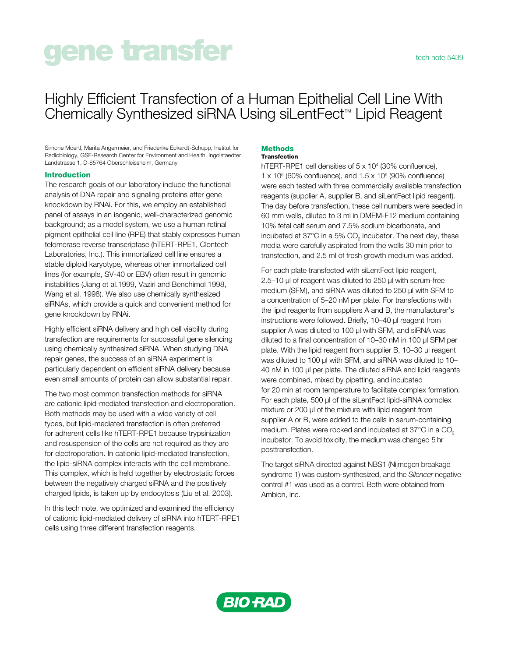# gene transfer tech note 5439

Simone Möertl, Marita Angermeier, and Friederike Eckardt-Schupp, Institut for Radiobiology, GSF-Research Center for Environment and Health, Ingolstaedter Landstrasse 1, D-85764 Oberschleissheim, Germany

### Introduction

The research goals of our laboratory include the functional analysis of DNA repair and signaling proteins after gene knockdown by RNAi. For this, we employ an established panel of assays in an isogenic, well-characterized genomic background; as a model system, we use a human retinal pigment epithelial cell line (RPE) that stably expresses human telomerase reverse transcriptase (hTERT-RPE1, Clontech Laboratories, Inc.). This immortalized cell line ensures a stable diploid karyotype, whereas other immortalized cell lines (for example, SV-40 or EBV) often result in genomic instabilities (Jiang et al.1999, Vaziri and Benchimol 1998, Wang et al. 1998). We also use chemically synthesized siRNAs, which provide a quick and convenient method for gene knockdown by RNAi.

Highly efficient siRNA delivery and high cell viability during transfection are requirements for successful gene silencing using chemically synthesized siRNA. When studying DNA repair genes, the success of an siRNA experiment is particularly dependent on efficient siRNA delivery because even small amounts of protein can allow substantial repair.

The two most common transfection methods for siRNA are cationic lipid-mediated transfection and electroporation. Both methods may be used with a wide variety of cell types, but lipid-mediated transfection is often preferred for adherent cells like hTERT-RPE1 because trypsinization and resuspension of the cells are not required as they are for electroporation. In cationic lipid-mediated transfection, the lipid-siRNA complex interacts with the cell membrane. This complex, which is held together by electrostatic forces between the negatively charged siRNA and the positively charged lipids, is taken up by endocytosis (Liu et al. 2003).

In this tech note, we optimized and examined the efficiency of cationic lipid-mediated delivery of siRNA into hTERT-RPE1 cells using three different transfection reagents.

#### **Methods** Transfection

hTERT-RPE1 cell densities of 5 x 10<sup>4</sup> (30% confluence),  $1 \times 10^5$  (60% confluence), and  $1.5 \times 10^5$  (90% confluence) were each tested with three commercially available transfection reagents (supplier A, supplier B, and siLentFect lipid reagent). The day before transfection, these cell numbers were seeded in 60 mm wells, diluted to 3 ml in DMEM-F12 medium containing 10% fetal calf serum and 7.5% sodium bicarbonate, and incubated at 37°C in a 5% CO<sub>2</sub> incubator. The next day, these media were carefully aspirated from the wells 30 min prior to transfection, and 2.5 ml of fresh growth medium was added.

For each plate transfected with siLentFect lipid reagent, 2.5–10 µl of reagent was diluted to 250 µl with serum-free medium (SFM), and siRNA was diluted to 250 µl with SFM to a concentration of 5–20 nM per plate. For transfections with the lipid reagents from suppliers A and B, the manufacturer's instructions were followed. Briefly, 10–40 µl reagent from supplier A was diluted to 100 µl with SFM, and siRNA was diluted to a final concentration of 10–30 nM in 100 µl SFM per plate. With the lipid reagent from supplier B, 10–30 µl reagent was diluted to 100 µl with SFM, and siRNA was diluted to 10-40 nM in 100 µl per plate. The diluted siRNA and lipid reagents were combined, mixed by pipetting, and incubated for 20 min at room temperature to facilitate complex formation. For each plate, 500 µl of the siLentFect lipid-siRNA complex mixture or 200 µl of the mixture with lipid reagent from supplier A or B, were added to the cells in serum-containing medium. Plates were rocked and incubated at 37°C in a CO<sub>2</sub> incubator. To avoid toxicity, the medium was changed 5 hr posttransfection.

The target siRNA directed against NBS1 (Nijmegen breakage syndrome 1) was custom-synthesized, and the *Silencer* negative control #1 was used as a control. Both were obtained from Ambion, Inc.



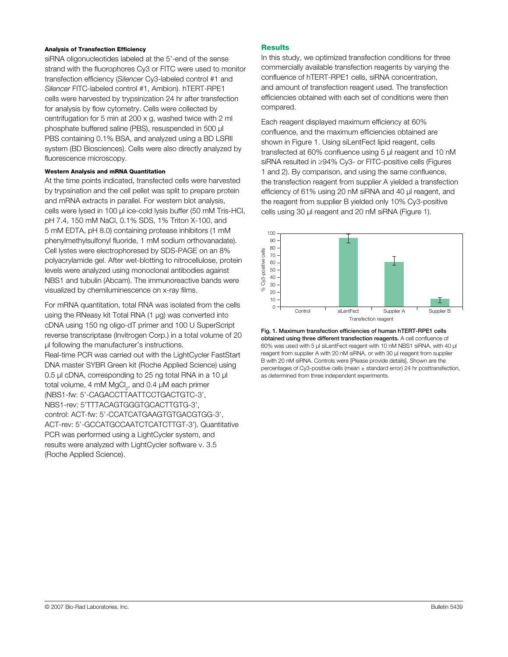#### Analysis of Transfection Efficiency

siRNA oligonucleotides labeled at the 5'-end of the sense strand with the fluorophores Cy3 or FITC were used to monitor transfection efficiency (*Silencer* Cy3-labeled control #1 and *Silencer* FITC-labeled control #1, Ambion). hTERT-RPE1 cells were harvested by trypsinization 24 hr after transfection for analysis by flow cytometry. Cells were collected by centrifugation for 5 min at 200 x g, washed twice with 2 ml phosphate buffered saline (PBS), resuspended in 500 µl PBS containing 0.1% BSA, and analyzed using a BD LSRII system (BD Biosciences). Cells were also directly analyzed by fluorescence microscopy.

#### Western Analysis and mRNA Quantitation

At the time points indicated, transfected cells were harvested by trypsination and the cell pellet was split to prepare protein and mRNA extracts in parallel. For western blot analysis, cells were lysed in 100 µl ice-cold lysis buffer (50 mM Tris-HCl, pH 7.4, 150 mM NaCl, 0.1% SDS, 1% Triton X-100, and 5 mM EDTA, pH 8.0) containing protease inhibitors (1 mM phenylmethylsulfonyl fluoride, 1 mM sodium orthovanadate). Cell lystes were electrophoresed by SDS-PAGE on an 8% polyacrylamide gel. After wet-blotting to nitrocellulose, protein levels were analyzed using monoclonal antibodies against NBS1 and tubulin (Abcam). The immunoreactive bands were visualized by chemiluminescence on x-ray films.

For mRNA quantitation, total RNA was isolated from the cells using the RNeasy kit Total RNA (1 µg) was converted into cDNA using 150 ng oligo-dT primer and 100 U SuperScript reverse transcriptase (Invitrogen Corp.) in a total volume of 20 µl following the manufacturer's instructions. Real-time PCR was carried out with the LightCycler FastStart DNA master SYBR Green kit (Roche Applied Science) using 0.5 µl cDNA, corresponding to 25 ng total RNA in a 10 µl total volume, 4 mM MgCl<sub>2</sub>, and 0.4  $\mu$ M each primer (NBS1-fw: 5'-CAGACCTTAATTCCTGACTGTC-3', NBS1-rev: 5'TTTACAGTGGGTGCACTTGTG-3', control: ACT-fw: 5'-CCATCATGAAGTGTGACGTGG-3', ACT-rev: 5'-GCCATGCCAATCTCATCTTGT-3'). Quantitative PCR was performed using a LightCycler system, and results were analyzed with LightCycler software v. 3.5 (Roche Applied Science).

## **Results**

In this study, we optimized transfection conditions for three commercially available transfection reagents by varying the confluence of hTERT-RPE1 cells, siRNA concentration, and amount of transfection reagent used. The transfection efficiencies obtained with each set of conditions were then compared.

Each reagent displayed maximum efficiency at 60% confluence, and the maximum efficiencies obtained are shown in Figure 1. Using siLentFect lipid reagent, cells transfected at 60% confluence using 5 µl reagent and 10 nM siRNA resulted in ≥94% Cy3- or FITC-positive cells (Figures 1 and 2). By comparison, and using the same confluence, the transfection reagent from supplier A yielded a transfection efficiency of 61% using 20 nM siRNA and 40 µl reagent, and the reagent from supplier B yielded only 10% Cy3-positive cells using 30 µl reagent and 20 nM siRNA (Figure 1).



Fig. 1. Maximum transfection efficiencies of human hTERT-RPE1 cells obtained using three different transfection reagents. A cell confluence of 60% was used with 5 µl siLentFect reagent with 10 nM NBS1 siRNA, with 40 µl reagent from supplier A with 20 nM siRNA, or with 30 µl reagent from supplier B with 20 nM siRNA. Controls were [Please provide details]. Shown are the percentages of Cy3-positive cells (mean  $\pm$  standard error) 24 hr posttransfection,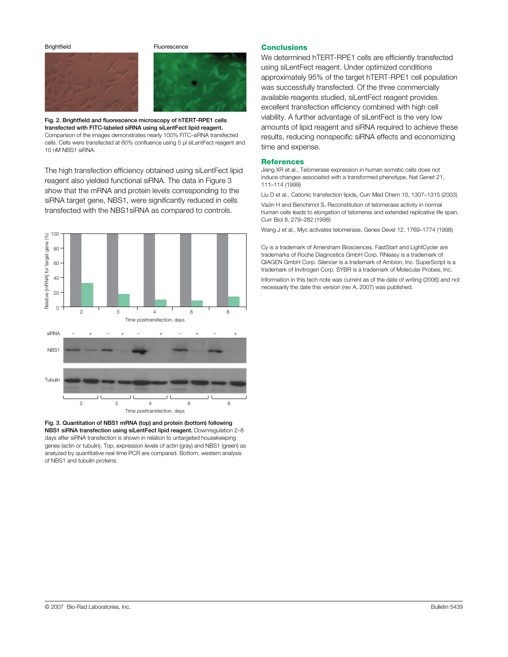Brightfield **Fluorescence** 



Fig. 2. Brightfield and fluorescence microscopy of hTERT-RPE1 cells transfected with FITC-labeled siRNA using siLentFect lipid reagent. Comparison of the images demonstrates nearly 100% FITC-siRNA transfected cells. Cells were transfected at 60% confluence using 5 µl siLentFect reagent and 10 nM NBS1 siRNA.

The high transfection efficiency obtained using siLentFect lipid reagent also yielded functional siRNA. The data in Figure 3 show that the mRNA and protein levels corresponding to the siRNA target gene, NBS1, were significantly reduced in cells transfected with the NBS1siRNA as compared to controls.



Fig. 3. Quantitation of NBS1 mRNA (top) and protein (bottom) following NBS1 siRNA transfection using siLentFect lipid reagent. Downregulation 2–8 days after siRNA transfection is shown in relation to untargeted housekeeping genes (actin or tubulin). Top, expression levels of actin (gray) and NBS1 (green) as analyzed by quantitative real-time PCR are compared. Bottom, western analysis

#### **Conclusions**

We determined hTERT-RPE1 cells are efficiently transfected using siLentFect reagent. Under optimized conditions approximately 95% of the target hTERT-RPE1 cell population was successfully transfected. Of the three commercially available reagents studied, siLentFect reagent provides excellent transfection efficiency combined with high cell viability. A further advantage of siLentFect is the very low amounts of lipid reagent and siRNA required to achieve these results, reducing nonspecific siRNA effects and economizing time and expense.

#### **References**

Jiang XR et al., Telomerase expression in human somatic cells does not induce changes associated with a transformed phenotype, Nat Genet 21, 111–114 (1999)

Liu D et al., Cationic transfection lipids, Curr Med Chem 10, 1307–1315 (2003) Vaziri H and Benchimol S, Reconstitution of telomerase activity in normal human cells leads to elongation of telomeres and extended replicative life span, Curr Biol 8, 279–282 (1998)

Wang J et al., Myc activates telomerase, Genes Devel 12, 1769–1774 (1998)

Cy is a trademark of Amersham Biosciences. FastStart and LightCycler are trademarks of Roche Diagnostics GmbH Corp. RNeasy is a trademark of QIAGEN GmbH Corp. *Silencer* is a trademark of Ambion, Inc. SuperScript is a trademark of Invitrogen Corp. SYBR is a trademark of Molecular Probes, Inc.

Information in this tech note was current as of the date of writing (2006) and not necessarily the date this version (rev A, 2007) was published.